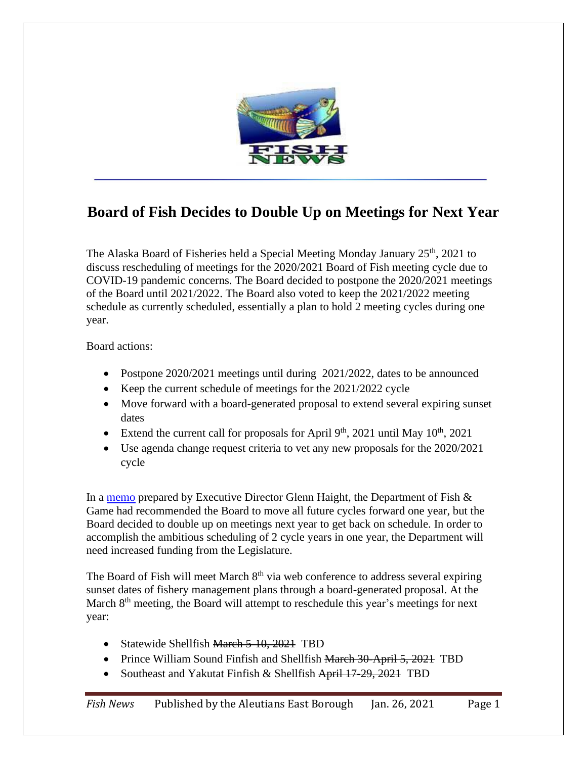

## **Board of Fish Decides to Double Up on Meetings for Next Year**

The Alaska Board of Fisheries held a Special Meeting Monday January  $25<sup>th</sup>$ , 2021 to discuss rescheduling of meetings for the 2020/2021 Board of Fish meeting cycle due to COVID-19 pandemic concerns. The Board decided to postpone the 2020/2021 meetings of the Board until 2021/2022. The Board also voted to keep the 2021/2022 meeting schedule as currently scheduled, essentially a plan to hold 2 meeting cycles during one year.

Board actions:

- Postpone 2020/2021 meetings until during 2021/2022, dates to be announced
- Keep the current schedule of meetings for the 2021/2022 cycle
- Move forward with a board-generated proposal to extend several expiring sunset dates
- Extend the current call for proposals for April  $9<sup>th</sup>$ , 2021 until May  $10<sup>th</sup>$ , 2021
- Use agenda change request criteria to vet any new proposals for the 2020/2021 cycle

In a [memo](http://www.adfg.alaska.gov/static-f/regulations/regprocess/fisheriesboard/pdfs/2020-2021/jan/memo.pdf) prepared by Executive Director Glenn Haight, the Department of Fish & Game had recommended the Board to move all future cycles forward one year, but the Board decided to double up on meetings next year to get back on schedule. In order to accomplish the ambitious scheduling of 2 cycle years in one year, the Department will need increased funding from the Legislature.

The Board of Fish will meet March  $8<sup>th</sup>$  via web conference to address several expiring sunset dates of fishery management plans through a board-generated proposal. At the March 8<sup>th</sup> meeting, the Board will attempt to reschedule this year's meetings for next year:

- Statewide Shellfish March 5-10, 2021 TBD
- Prince William Sound Finfish and Shellfish March 30-April 5, 2021 TBD
- Southeast and Yakutat Finfish & Shellfish April 17-29, 2021 TBD